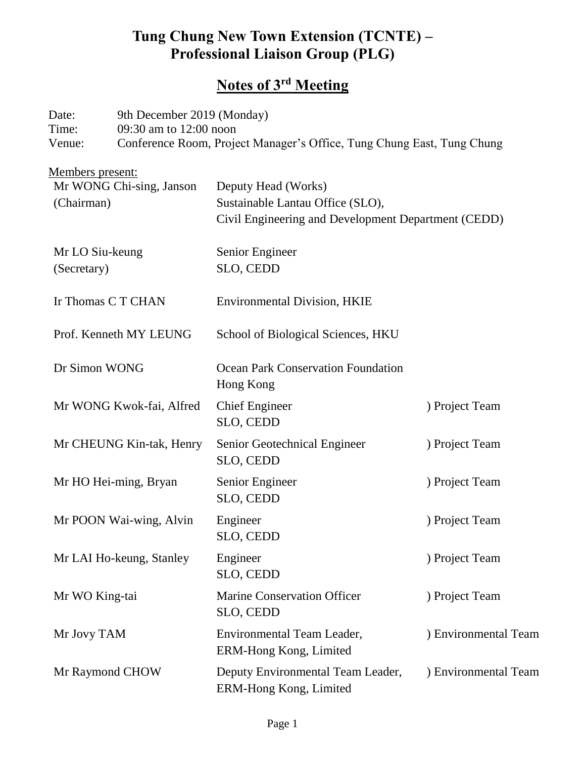# **Tung Chung New Town Extension (TCNTE) – Professional Liaison Group (PLG)**

## **Notes of 3 rd Meeting**

| Date:  | 9th December 2019 (Monday)                                             |
|--------|------------------------------------------------------------------------|
| Time:  | 09:30 am to $12:00$ noon                                               |
| Venue: | Conference Room, Project Manager's Office, Tung Chung East, Tung Chung |
|        |                                                                        |

| Members present:<br>Mr WONG Chi-sing, Janson | Deputy Head (Works)                                         |                      |  |
|----------------------------------------------|-------------------------------------------------------------|----------------------|--|
| (Chairman)                                   | Sustainable Lantau Office (SLO),                            |                      |  |
|                                              | Civil Engineering and Development Department (CEDD)         |                      |  |
| Mr LO Siu-keung                              | Senior Engineer                                             |                      |  |
| (Secretary)                                  | SLO, CEDD                                                   |                      |  |
| Ir Thomas C T CHAN                           | <b>Environmental Division, HKIE</b>                         |                      |  |
| Prof. Kenneth MY LEUNG                       | School of Biological Sciences, HKU                          |                      |  |
| Dr Simon WONG                                | <b>Ocean Park Conservation Foundation</b><br>Hong Kong      |                      |  |
| Mr WONG Kwok-fai, Alfred                     | <b>Chief Engineer</b><br>SLO, CEDD                          | ) Project Team       |  |
| Mr CHEUNG Kin-tak, Henry                     | Senior Geotechnical Engineer<br>SLO, CEDD                   | ) Project Team       |  |
| Mr HO Hei-ming, Bryan                        | Senior Engineer<br>SLO, CEDD                                | ) Project Team       |  |
| Mr POON Wai-wing, Alvin                      | Engineer<br>SLO, CEDD                                       | ) Project Team       |  |
| Mr LAI Ho-keung, Stanley                     | Engineer<br>SLO, CEDD                                       | ) Project Team       |  |
| Mr WO King-tai                               | <b>Marine Conservation Officer</b><br>SLO, CEDD             | ) Project Team       |  |
| Mr Jovy TAM                                  | Environmental Team Leader,<br>ERM-Hong Kong, Limited        | ) Environmental Team |  |
| Mr Raymond CHOW                              | Deputy Environmental Team Leader,<br>ERM-Hong Kong, Limited | ) Environmental Team |  |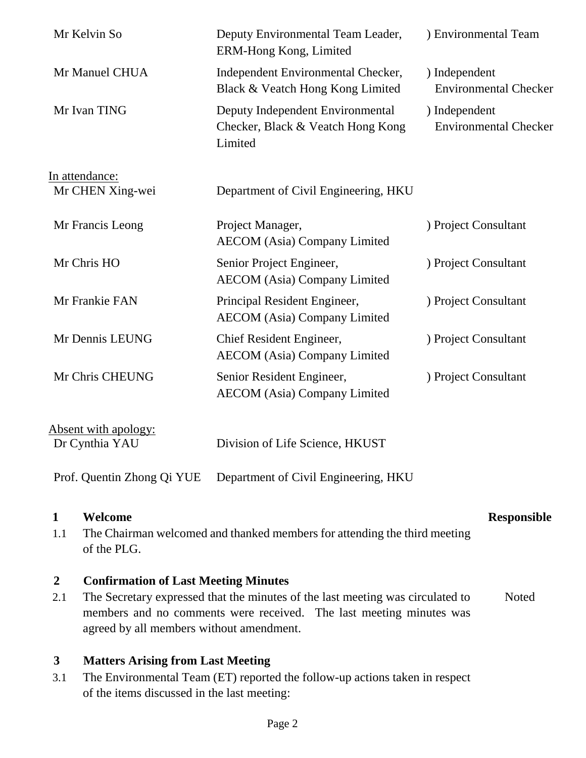| Mr Kelvin So                           | Deputy Environmental Team Leader,<br>ERM-Hong Kong, Limited                      | ) Environmental Team                          |
|----------------------------------------|----------------------------------------------------------------------------------|-----------------------------------------------|
| Mr Manuel CHUA                         | Independent Environmental Checker,<br>Black & Veatch Hong Kong Limited           | ) Independent<br><b>Environmental Checker</b> |
| Mr Ivan TING                           | Deputy Independent Environmental<br>Checker, Black & Veatch Hong Kong<br>Limited | ) Independent<br><b>Environmental Checker</b> |
| In attendance:                         |                                                                                  |                                               |
| Mr CHEN Xing-wei                       | Department of Civil Engineering, HKU                                             |                                               |
| Mr Francis Leong                       | Project Manager,<br><b>AECOM</b> (Asia) Company Limited                          | ) Project Consultant                          |
| Mr Chris HO                            | Senior Project Engineer,<br><b>AECOM</b> (Asia) Company Limited                  | ) Project Consultant                          |
| Mr Frankie FAN                         | Principal Resident Engineer,<br><b>AECOM</b> (Asia) Company Limited              | ) Project Consultant                          |
| Mr Dennis LEUNG                        | Chief Resident Engineer,<br><b>AECOM</b> (Asia) Company Limited                  | ) Project Consultant                          |
| Mr Chris CHEUNG                        | Senior Resident Engineer,<br><b>AECOM</b> (Asia) Company Limited                 | ) Project Consultant                          |
| Absent with apology:<br>Dr Cynthia YAU | Division of Life Science, HKUST                                                  |                                               |

#### **1 Welcome Responsible**

1.1 The Chairman welcomed and thanked members for attending the third meeting of the PLG.

Prof. Quentin Zhong Qi YUE Department of Civil Engineering, HKU

#### **2 Confirmation of Last Meeting Minutes**

2.1 The Secretary expressed that the minutes of the last meeting was circulated to members and no comments were received. The last meeting minutes was agreed by all members without amendment. **Noted** 

### **3 Matters Arising from Last Meeting**

3.1 The Environmental Team (ET) reported the follow-up actions taken in respect of the items discussed in the last meeting: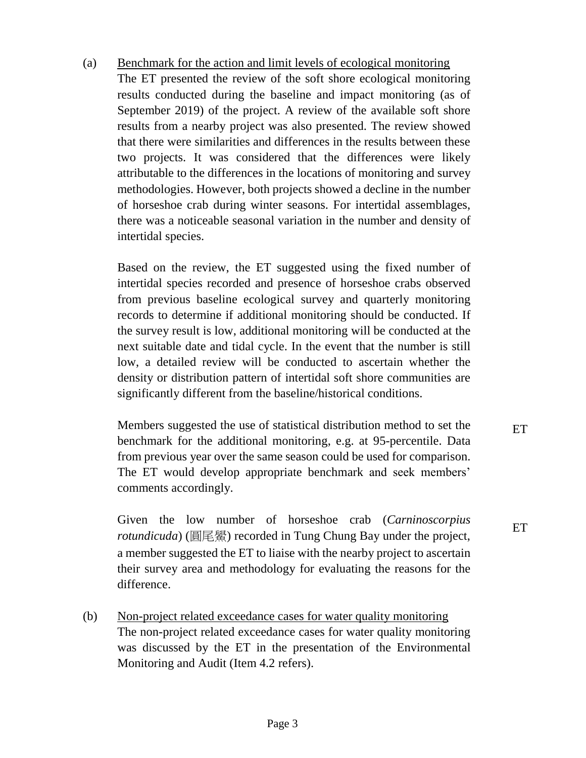#### (a) Benchmark for the action and limit levels of ecological monitoring

The ET presented the review of the soft shore ecological monitoring results conducted during the baseline and impact monitoring (as of September 2019) of the project. A review of the available soft shore results from a nearby project was also presented. The review showed that there were similarities and differences in the results between these two projects. It was considered that the differences were likely attributable to the differences in the locations of monitoring and survey methodologies. However, both projects showed a decline in the number of horseshoe crab during winter seasons. For intertidal assemblages, there was a noticeable seasonal variation in the number and density of intertidal species.

Based on the review, the ET suggested using the fixed number of intertidal species recorded and presence of horseshoe crabs observed from previous baseline ecological survey and quarterly monitoring records to determine if additional monitoring should be conducted. If the survey result is low, additional monitoring will be conducted at the next suitable date and tidal cycle. In the event that the number is still low, a detailed review will be conducted to ascertain whether the density or distribution pattern of intertidal soft shore communities are significantly different from the baseline/historical conditions.

Members suggested the use of statistical distribution method to set the benchmark for the additional monitoring, e.g. at 95-percentile. Data from previous year over the same season could be used for comparison. The ET would develop appropriate benchmark and seek members' comments accordingly.

Given the low number of horseshoe crab (*Carninoscorpius rotundicuda*) (圓尾鱟) recorded in Tung Chung Bay under the project, a member suggested the ET to liaise with the nearby project to ascertain their survey area and methodology for evaluating the reasons for the difference.

(b) Non-project related exceedance cases for water quality monitoring The non-project related exceedance cases for water quality monitoring was discussed by the ET in the presentation of the Environmental Monitoring and Audit (Item 4.2 refers).

ET

ET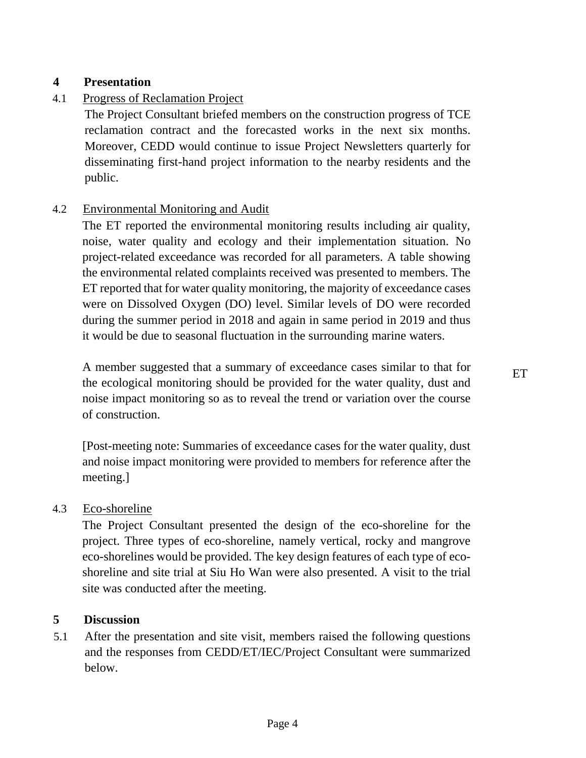#### **4 Presentation**

#### 4.1 Progress of Reclamation Project

The Project Consultant briefed members on the construction progress of TCE reclamation contract and the forecasted works in the next six months. Moreover, CEDD would continue to issue Project Newsletters quarterly for disseminating first-hand project information to the nearby residents and the public.

#### 4.2 Environmental Monitoring and Audit

The ET reported the environmental monitoring results including air quality, noise, water quality and ecology and their implementation situation. No project-related exceedance was recorded for all parameters. A table showing the environmental related complaints received was presented to members. The ET reported that for water quality monitoring, the majority of exceedance cases were on Dissolved Oxygen (DO) level. Similar levels of DO were recorded during the summer period in 2018 and again in same period in 2019 and thus it would be due to seasonal fluctuation in the surrounding marine waters.

A member suggested that a summary of exceedance cases similar to that for the ecological monitoring should be provided for the water quality, dust and noise impact monitoring so as to reveal the trend or variation over the course of construction.

[Post-meeting note: Summaries of exceedance cases for the water quality, dust and noise impact monitoring were provided to members for reference after the meeting.]

#### 4.3 Eco-shoreline

The Project Consultant presented the design of the eco-shoreline for the project. Three types of eco-shoreline, namely vertical, rocky and mangrove eco-shorelines would be provided. The key design features of each type of ecoshoreline and site trial at Siu Ho Wan were also presented. A visit to the trial site was conducted after the meeting.

#### **5 Discussion**

5.1 After the presentation and site visit, members raised the following questions and the responses from CEDD/ET/IEC/Project Consultant were summarized below.